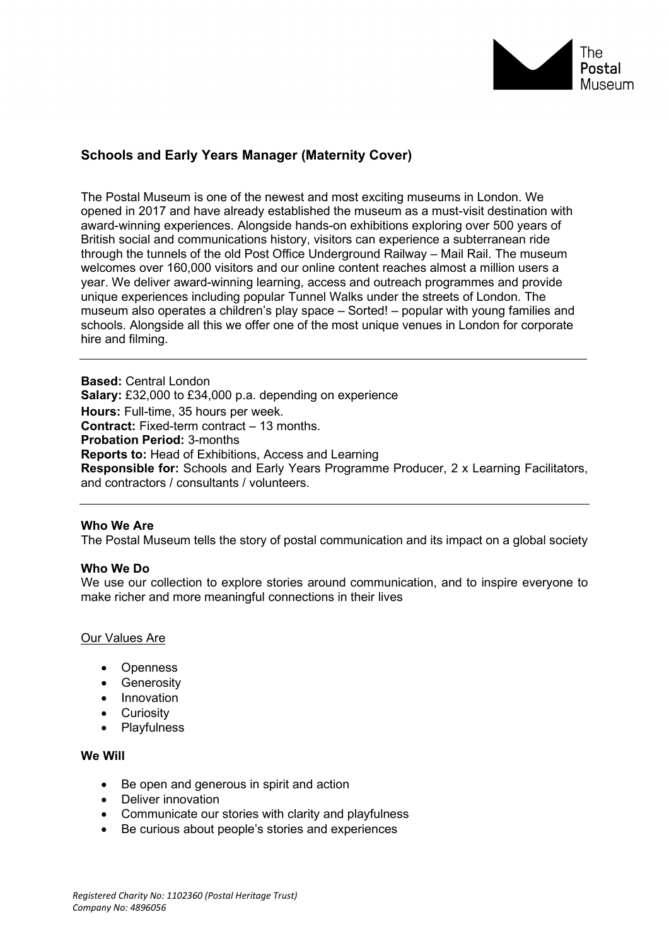

# **Schools and Early Years Manager (Maternity Cover)**

The Postal Museum is one of the newest and most exciting museums in London. We opened in 2017 and have already established the museum as a must-visit destination with award-winning experiences. Alongside hands-on exhibitions exploring over 500 years of British social and communications history, visitors can experience a subterranean ride through the tunnels of the old Post Office Underground Railway – Mail Rail. The museum welcomes over 160,000 visitors and our online content reaches almost a million users a year. We deliver award-winning learning, access and outreach programmes and provide unique experiences including popular Tunnel Walks under the streets of London. The museum also operates a children's play space – Sorted! – popular with young families and schools. Alongside all this we offer one of the most unique venues in London for corporate hire and filming.

**Based:** Central London **Salary:** £32,000 to £34,000 p.a. depending on experience **Hours:** Full-time, 35 hours per week. **Contract:** Fixed-term contract – 13 months. **Probation Period:** 3-months **Reports to:** Head of Exhibitions, Access and Learning **Responsible for:** Schools and Early Years Programme Producer, 2 x Learning Facilitators, and contractors / consultants / volunteers.

### **Who We Are**

The Postal Museum tells the story of postal communication and its impact on a global society

### **Who We Do**

We use our collection to explore stories around communication, and to inspire everyone to make richer and more meaningful connections in their lives

### Our Values Are

- Openness
- Generosity
- Innovation
- Curiosity
- Playfulness

# **We Will**

- Be open and generous in spirit and action
- Deliver innovation
- Communicate our stories with clarity and playfulness
- Be curious about people's stories and experiences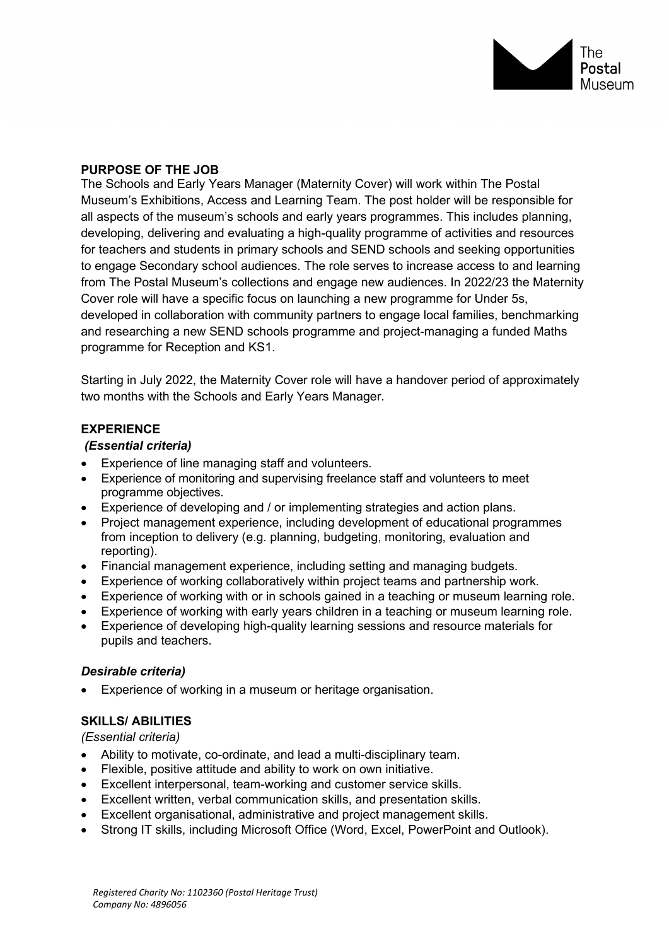

# **PURPOSE OF THE JOB**

The Schools and Early Years Manager (Maternity Cover) will work within The Postal Museum's Exhibitions, Access and Learning Team. The post holder will be responsible for all aspects of the museum's schools and early years programmes. This includes planning, developing, delivering and evaluating a high-quality programme of activities and resources for teachers and students in primary schools and SEND schools and seeking opportunities to engage Secondary school audiences. The role serves to increase access to and learning from The Postal Museum's collections and engage new audiences. In 2022/23 the Maternity Cover role will have a specific focus on launching a new programme for Under 5s, developed in collaboration with community partners to engage local families, benchmarking and researching a new SEND schools programme and project-managing a funded Maths programme for Reception and KS1.

Starting in July 2022, the Maternity Cover role will have a handover period of approximately two months with the Schools and Early Years Manager.

# **EXPERIENCE**

## *(Essential criteria)*

- Experience of line managing staff and volunteers.
- Experience of monitoring and supervising freelance staff and volunteers to meet programme objectives.
- Experience of developing and / or implementing strategies and action plans.
- Project management experience, including development of educational programmes from inception to delivery (e.g. planning, budgeting, monitoring, evaluation and reporting).
- Financial management experience, including setting and managing budgets.
- Experience of working collaboratively within project teams and partnership work.
- Experience of working with or in schools gained in a teaching or museum learning role.
- Experience of working with early years children in a teaching or museum learning role.
- Experience of developing high-quality learning sessions and resource materials for pupils and teachers.

### *Desirable criteria)*

Experience of working in a museum or heritage organisation.

# **SKILLS/ ABILITIES**

*(Essential criteria)* 

- Ability to motivate, co-ordinate, and lead a multi-disciplinary team.
- Flexible, positive attitude and ability to work on own initiative.
- Excellent interpersonal, team-working and customer service skills.
- Excellent written, verbal communication skills, and presentation skills.
- Excellent organisational, administrative and project management skills.
- Strong IT skills, including Microsoft Office (Word, Excel, PowerPoint and Outlook).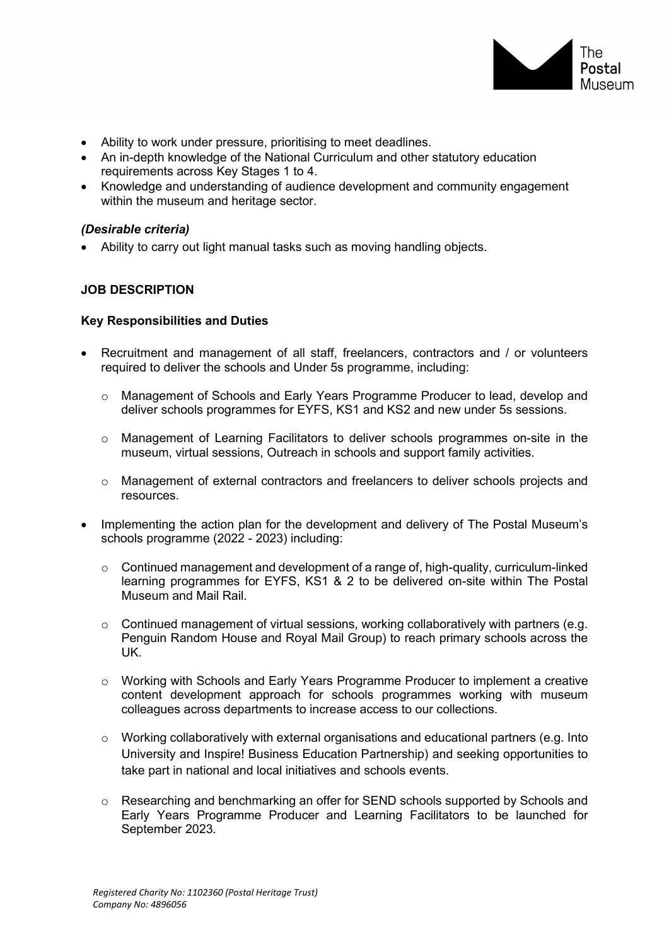

- Ability to work under pressure, prioritising to meet deadlines.
- An in-depth knowledge of the National Curriculum and other statutory education requirements across Key Stages 1 to 4.
- Knowledge and understanding of audience development and community engagement within the museum and heritage sector.

# *(Desirable criteria)*

• Ability to carry out light manual tasks such as moving handling objects.

# **JOB DESCRIPTION**

## **Key Responsibilities and Duties**

- Recruitment and management of all staff, freelancers, contractors and / or volunteers required to deliver the schools and Under 5s programme, including:
	- o Management of Schools and Early Years Programme Producer to lead, develop and deliver schools programmes for EYFS, KS1 and KS2 and new under 5s sessions.
	- o Management of Learning Facilitators to deliver schools programmes on-site in the museum, virtual sessions, Outreach in schools and support family activities.
	- o Management of external contractors and freelancers to deliver schools projects and resources.
- Implementing the action plan for the development and delivery of The Postal Museum's schools programme (2022 - 2023) including:
	- $\circ$  Continued management and development of a range of, high-quality, curriculum-linked learning programmes for EYFS, KS1 & 2 to be delivered on-site within The Postal Museum and Mail Rail.
	- o Continued management of virtual sessions, working collaboratively with partners (e.g. Penguin Random House and Royal Mail Group) to reach primary schools across the UK.
	- o Working with Schools and Early Years Programme Producer to implement a creative content development approach for schools programmes working with museum colleagues across departments to increase access to our collections.
	- $\circ$  Working collaboratively with external organisations and educational partners (e.g. Into University and Inspire! Business Education Partnership) and seeking opportunities to take part in national and local initiatives and schools events.
	- $\circ$  Researching and benchmarking an offer for SEND schools supported by Schools and Early Years Programme Producer and Learning Facilitators to be launched for September 2023.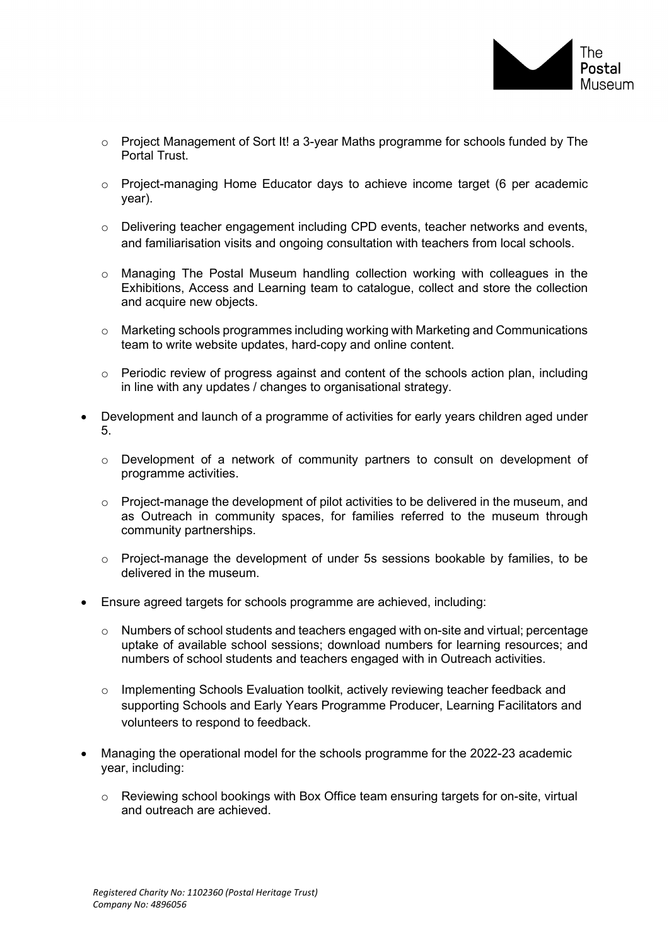

- o Project Management of Sort It! a 3-year Maths programme for schools funded by The Portal Trust.
- o Project-managing Home Educator days to achieve income target (6 per academic year).
- o Delivering teacher engagement including CPD events, teacher networks and events, and familiarisation visits and ongoing consultation with teachers from local schools.
- $\circ$  Managing The Postal Museum handling collection working with colleagues in the Exhibitions, Access and Learning team to catalogue, collect and store the collection and acquire new objects.
- $\circ$  Marketing schools programmes including working with Marketing and Communications team to write website updates, hard-copy and online content.
- o Periodic review of progress against and content of the schools action plan, including in line with any updates / changes to organisational strategy.
- Development and launch of a programme of activities for early years children aged under 5.
	- o Development of a network of community partners to consult on development of programme activities.
	- $\circ$  Project-manage the development of pilot activities to be delivered in the museum, and as Outreach in community spaces, for families referred to the museum through community partnerships.
	- o Project-manage the development of under 5s sessions bookable by families, to be delivered in the museum.
- Ensure agreed targets for schools programme are achieved, including:
	- $\circ$  Numbers of school students and teachers engaged with on-site and virtual; percentage uptake of available school sessions; download numbers for learning resources; and numbers of school students and teachers engaged with in Outreach activities.
	- $\circ$  Implementing Schools Evaluation toolkit, actively reviewing teacher feedback and supporting Schools and Early Years Programme Producer, Learning Facilitators and volunteers to respond to feedback.
- Managing the operational model for the schools programme for the 2022-23 academic year, including:
	- o Reviewing school bookings with Box Office team ensuring targets for on-site, virtual and outreach are achieved.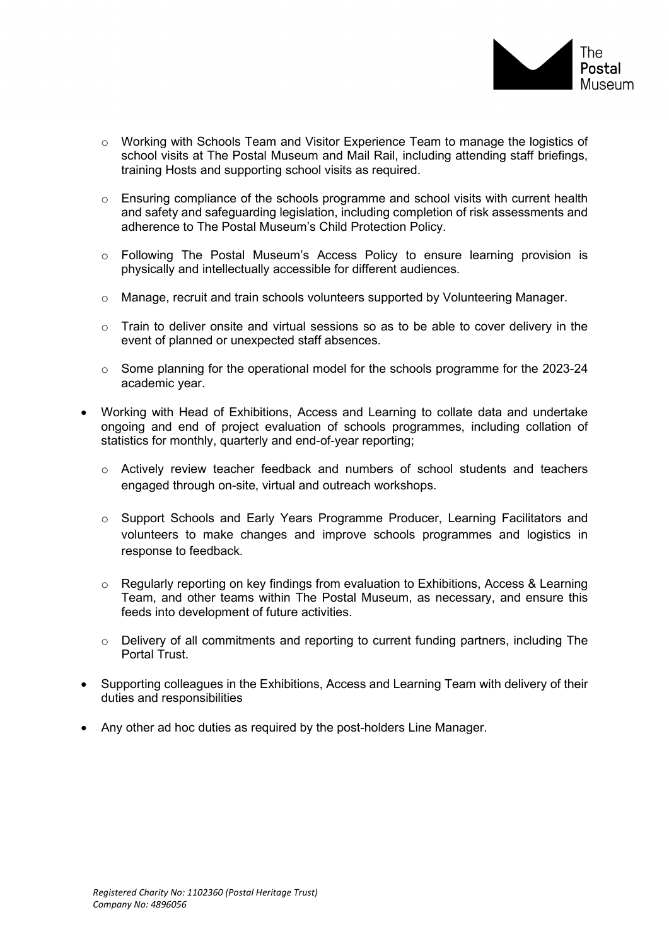

- $\circ$  Working with Schools Team and Visitor Experience Team to manage the logistics of school visits at The Postal Museum and Mail Rail, including attending staff briefings, training Hosts and supporting school visits as required.
- $\circ$  Ensuring compliance of the schools programme and school visits with current health and safety and safeguarding legislation, including completion of risk assessments and adherence to The Postal Museum's Child Protection Policy.
- o Following The Postal Museum's Access Policy to ensure learning provision is physically and intellectually accessible for different audiences.
- o Manage, recruit and train schools volunteers supported by Volunteering Manager.
- o Train to deliver onsite and virtual sessions so as to be able to cover delivery in the event of planned or unexpected staff absences.
- $\circ$  Some planning for the operational model for the schools programme for the 2023-24 academic year.
- Working with Head of Exhibitions, Access and Learning to collate data and undertake ongoing and end of project evaluation of schools programmes, including collation of statistics for monthly, quarterly and end-of-year reporting;
	- $\circ$  Actively review teacher feedback and numbers of school students and teachers engaged through on-site, virtual and outreach workshops.
	- o Support Schools and Early Years Programme Producer, Learning Facilitators and volunteers to make changes and improve schools programmes and logistics in response to feedback.
	- o Regularly reporting on key findings from evaluation to Exhibitions, Access & Learning Team, and other teams within The Postal Museum, as necessary, and ensure this feeds into development of future activities.
	- $\circ$  Delivery of all commitments and reporting to current funding partners, including The Portal Trust.
- Supporting colleagues in the Exhibitions, Access and Learning Team with delivery of their duties and responsibilities
- Any other ad hoc duties as required by the post-holders Line Manager.